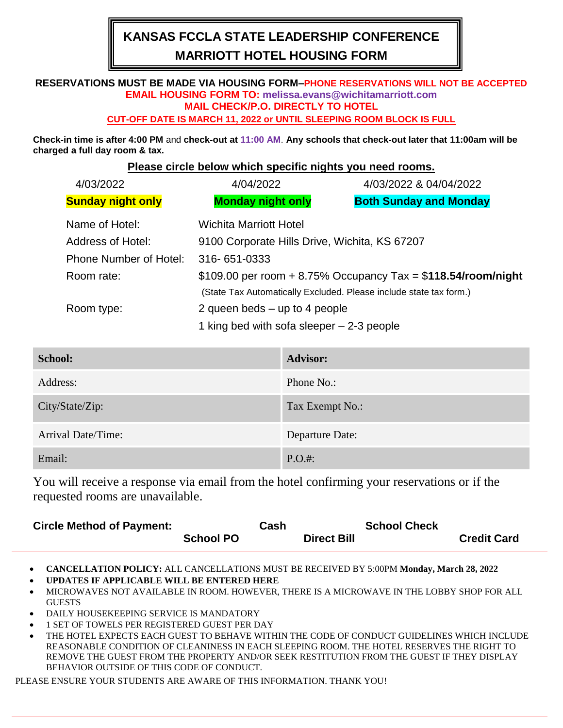# **KANSAS FCCLA STATE LEADERSHIP CONFERENCE MARRIOTT HOTEL HOUSING FORM**

## **RESERVATIONS MUST BE MADE VIA HOUSING FORM–PHONE RESERVATIONS WILL NOT BE ACCEPTED EMAIL HOUSING FORM TO: melissa.evans@wichitamarriott.com MAIL CHECK/P.O. DIRECTLY TO HOTEL**

#### **CUT-OFF DATE IS MARCH 11, 2022 or UNTIL SLEEPING ROOM BLOCK IS FULL**

**Check-in time is after 4:00 PM** and **check-out at 11:00 AM**. **Any schools that check-out later that 11:00am will be charged a full day room & tax.**

#### **Please circle below which specific nights you need rooms.**

|  | 4/03/2022                                                                                                           | 4/04/2022                                                        | 4/03/2022 & 04/04/2022        |  |
|--|---------------------------------------------------------------------------------------------------------------------|------------------------------------------------------------------|-------------------------------|--|
|  | <b>Sunday night only</b>                                                                                            | <b>Monday night only</b>                                         | <b>Both Sunday and Monday</b> |  |
|  | Name of Hotel:                                                                                                      | <b>Wichita Marriott Hotel</b>                                    |                               |  |
|  | Address of Hotel:                                                                                                   | 9100 Corporate Hills Drive, Wichita, KS 67207                    |                               |  |
|  | <b>Phone Number of Hotel:</b>                                                                                       | 316-651-0333                                                     |                               |  |
|  | Room rate:                                                                                                          | $$109.00$ per room + 8.75% Occupancy Tax = $$118.54$ /room/night |                               |  |
|  | (State Tax Automatically Excluded. Please include state tax form.)<br>2 queen beds $-$ up to 4 people<br>Room type: |                                                                  |                               |  |
|  |                                                                                                                     |                                                                  |                               |  |
|  |                                                                                                                     | 1 king bed with sofa sleeper $-2-3$ people                       |                               |  |

| <b>School:</b>     | <b>Advisor:</b> |
|--------------------|-----------------|
| Address:           | Phone No.:      |
| City/State/Zip:    | Tax Exempt No.: |
| Arrival Date/Time: | Departure Date: |
| Email:             | $P.O.#$ :       |

You will receive a response via email from the hotel confirming your reservations or if the requested rooms are unavailable.

| <b>Circle Method of Payment:</b> |                  | Cash |                    | <b>School Check</b> |                    |
|----------------------------------|------------------|------|--------------------|---------------------|--------------------|
|                                  | <b>School PO</b> |      | <b>Direct Bill</b> |                     | <b>Credit Card</b> |

• **CANCELLATION POLICY:** ALL CANCELLATIONS MUST BE RECEIVED BY 5:00PM **Monday, March 28, 2022**

• **UPDATES IF APPLICABLE WILL BE ENTERED HERE** 

- MICROWAVES NOT AVAILABLE IN ROOM. HOWEVER, THERE IS A MICROWAVE IN THE LOBBY SHOP FOR ALL **GUESTS**
- DAILY HOUSEKEEPING SERVICE IS MANDATORY
- 1 SET OF TOWELS PER REGISTERED GUEST PER DAY
- THE HOTEL EXPECTS EACH GUEST TO BEHAVE WITHIN THE CODE OF CONDUCT GUIDELINES WHICH INCLUDE REASONABLE CONDITION OF CLEANINESS IN EACH SLEEPING ROOM. THE HOTEL RESERVES THE RIGHT TO REMOVE THE GUEST FROM THE PROPERTY AND/OR SEEK RESTITUTION FROM THE GUEST IF THEY DISPLAY BEHAVIOR OUTSIDE OF THIS CODE OF CONDUCT.

PLEASE ENSURE YOUR STUDENTS ARE AWARE OF THIS INFORMATION. THANK YOU!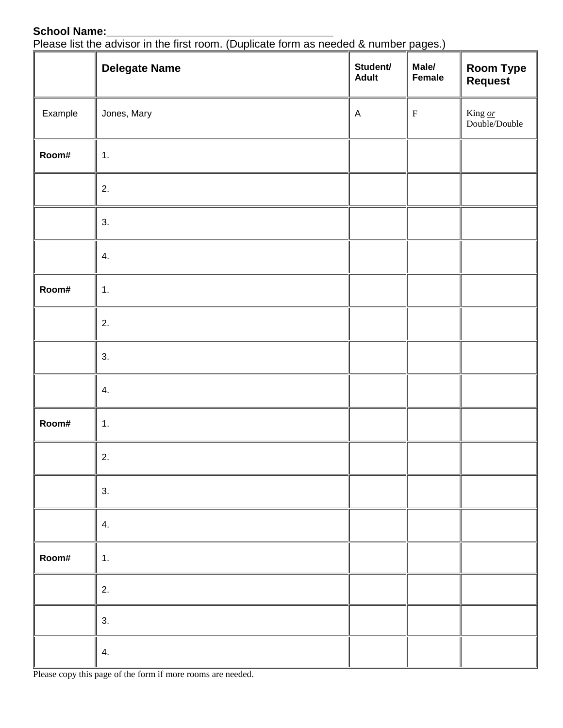### School Name:

| <b>JUIUUI NAIIIU.</b><br>Please list the advisor in the first room. (Duplicate form as needed & number pages.) |                      |                          |                 |                                    |  |
|----------------------------------------------------------------------------------------------------------------|----------------------|--------------------------|-----------------|------------------------------------|--|
|                                                                                                                | <b>Delegate Name</b> | Student/<br><b>Adult</b> | Male/<br>Female | <b>Room Type</b><br><b>Request</b> |  |
| Example                                                                                                        | Jones, Mary          | A                        | F               | King or<br>Double/Double           |  |
| Room#                                                                                                          | 1.                   |                          |                 |                                    |  |
|                                                                                                                | 2.                   |                          |                 |                                    |  |
|                                                                                                                | 3.                   |                          |                 |                                    |  |
|                                                                                                                | 4.                   |                          |                 |                                    |  |

| Room#  | 1.                                                                           |  |  |
|--------|------------------------------------------------------------------------------|--|--|
|        | 2.                                                                           |  |  |
|        | 3.                                                                           |  |  |
|        | 4.                                                                           |  |  |
| Room#  | 1.                                                                           |  |  |
|        | 2.                                                                           |  |  |
|        | 3.                                                                           |  |  |
|        | 4.                                                                           |  |  |
| Room#  | 1.                                                                           |  |  |
|        | 2.                                                                           |  |  |
|        | 3.                                                                           |  |  |
|        | 4.                                                                           |  |  |
| $T1 -$ | and an acceptable and acceptable from the sec<br>المتعادل والمستحدث والمناور |  |  |

Please copy this page of the form if more rooms are needed.